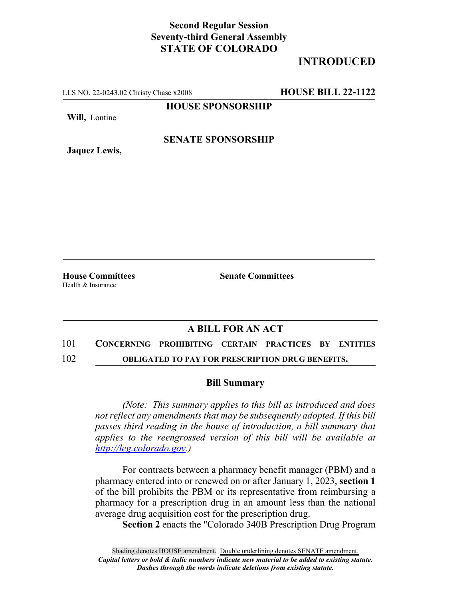## **Second Regular Session Seventy-third General Assembly STATE OF COLORADO**

# **INTRODUCED**

LLS NO. 22-0243.02 Christy Chase x2008 **HOUSE BILL 22-1122**

**HOUSE SPONSORSHIP**

**Will,** Lontine

**Jaquez Lewis,**

**SENATE SPONSORSHIP**

Health & Insurance

**House Committees Senate Committees**

### **A BILL FOR AN ACT**

# 101 **CONCERNING PROHIBITING CERTAIN PRACTICES BY ENTITIES**

102 **OBLIGATED TO PAY FOR PRESCRIPTION DRUG BENEFITS.**

#### **Bill Summary**

*(Note: This summary applies to this bill as introduced and does not reflect any amendments that may be subsequently adopted. If this bill passes third reading in the house of introduction, a bill summary that applies to the reengrossed version of this bill will be available at http://leg.colorado.gov.)*

For contracts between a pharmacy benefit manager (PBM) and a pharmacy entered into or renewed on or after January 1, 2023, **section 1** of the bill prohibits the PBM or its representative from reimbursing a pharmacy for a prescription drug in an amount less than the national average drug acquisition cost for the prescription drug.

**Section 2** enacts the "Colorado 340B Prescription Drug Program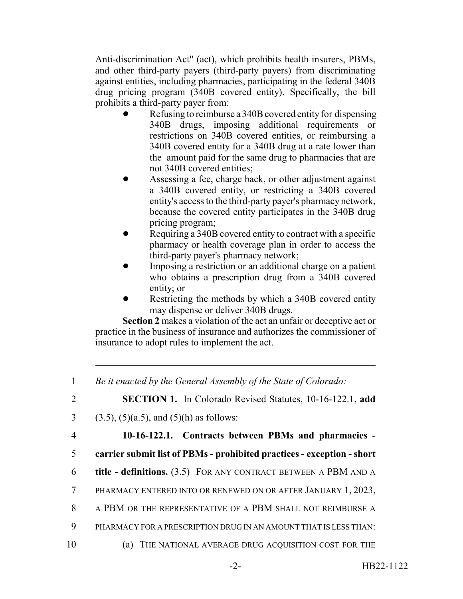Anti-discrimination Act" (act), which prohibits health insurers, PBMs, and other third-party payers (third-party payers) from discriminating against entities, including pharmacies, participating in the federal 340B drug pricing program (340B covered entity). Specifically, the bill prohibits a third-party payer from:

- Refusing to reimburse a 340B covered entity for dispensing 340B drugs, imposing additional requirements or restrictions on 340B covered entities, or reimbursing a 340B covered entity for a 340B drug at a rate lower than the amount paid for the same drug to pharmacies that are not 340B covered entities;
- ! Assessing a fee, charge back, or other adjustment against a 340B covered entity, or restricting a 340B covered entity's access to the third-party payer's pharmacy network, because the covered entity participates in the 340B drug pricing program;
- Requiring a 340B covered entity to contract with a specific pharmacy or health coverage plan in order to access the third-party payer's pharmacy network;
- ! Imposing a restriction or an additional charge on a patient who obtains a prescription drug from a 340B covered entity; or
- Restricting the methods by which a 340B covered entity may dispense or deliver 340B drugs.

**Section 2** makes a violation of the act an unfair or deceptive act or practice in the business of insurance and authorizes the commissioner of insurance to adopt rules to implement the act.

<sup>1</sup> *Be it enacted by the General Assembly of the State of Colorado:* 2 **SECTION 1.** In Colorado Revised Statutes, 10-16-122.1, **add** 3 (3.5), (5)(a.5), and (5)(h) as follows: 4 **10-16-122.1. Contracts between PBMs and pharmacies -** 5 **carrier submit list of PBMs - prohibited practices - exception - short** 6 **title - definitions.** (3.5) FOR ANY CONTRACT BETWEEN A PBM AND A 7 PHARMACY ENTERED INTO OR RENEWED ON OR AFTER JANUARY 1, 2023, 8 A PBM OR THE REPRESENTATIVE OF A PBM SHALL NOT REIMBURSE A 9 PHARMACY FOR A PRESCRIPTION DRUG IN AN AMOUNT THAT IS LESS THAN: 10 (a) THE NATIONAL AVERAGE DRUG ACQUISITION COST FOR THE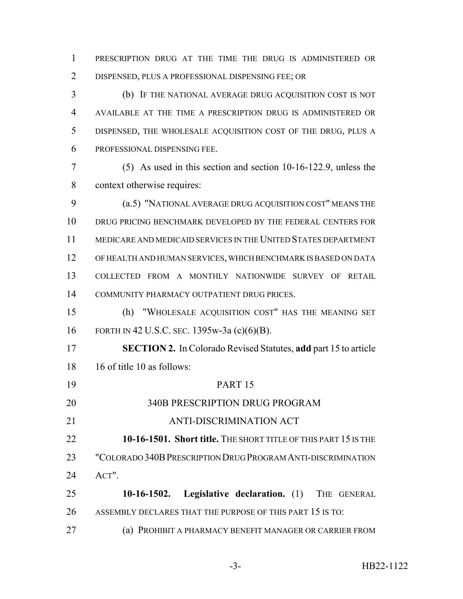PRESCRIPTION DRUG AT THE TIME THE DRUG IS ADMINISTERED OR DISPENSED, PLUS A PROFESSIONAL DISPENSING FEE; OR

 (b) IF THE NATIONAL AVERAGE DRUG ACQUISITION COST IS NOT AVAILABLE AT THE TIME A PRESCRIPTION DRUG IS ADMINISTERED OR DISPENSED, THE WHOLESALE ACQUISITION COST OF THE DRUG, PLUS A PROFESSIONAL DISPENSING FEE.

 (5) As used in this section and section 10-16-122.9, unless the context otherwise requires:

 (a.5) "NATIONAL AVERAGE DRUG ACQUISITION COST" MEANS THE DRUG PRICING BENCHMARK DEVELOPED BY THE FEDERAL CENTERS FOR MEDICARE AND MEDICAID SERVICES IN THE UNITED STATES DEPARTMENT OF HEALTH AND HUMAN SERVICES, WHICH BENCHMARK IS BASED ON DATA COLLECTED FROM A MONTHLY NATIONWIDE SURVEY OF RETAIL COMMUNITY PHARMACY OUTPATIENT DRUG PRICES.

 (h) "WHOLESALE ACQUISITION COST" HAS THE MEANING SET FORTH IN 42 U.S.C. SEC. 1395w-3a (c)(6)(B).

 **SECTION 2.** In Colorado Revised Statutes, **add** part 15 to article 16 of title 10 as follows:

 PART 15 340B PRESCRIPTION DRUG PROGRAM ANTI-DISCRIMINATION ACT **10-16-1501. Short title.** THE SHORT TITLE OF THIS PART 15 IS THE "COLORADO 340BPRESCRIPTION DRUG PROGRAM ANTI-DISCRIMINATION ACT". **10-16-1502. Legislative declaration.** (1) THE GENERAL

26 ASSEMBLY DECLARES THAT THE PURPOSE OF THIS PART 15 IS TO:

(a) PROHIBIT A PHARMACY BENEFIT MANAGER OR CARRIER FROM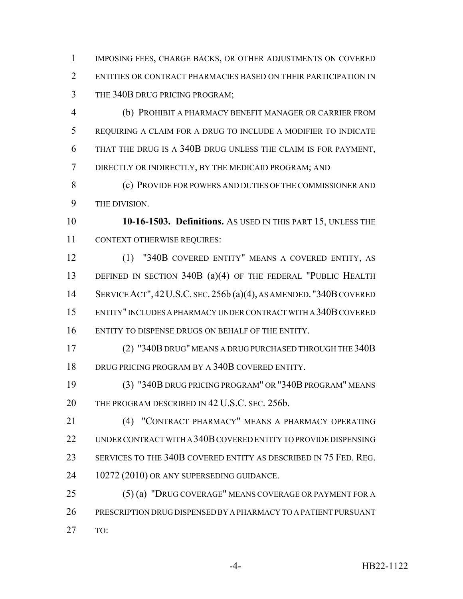IMPOSING FEES, CHARGE BACKS, OR OTHER ADJUSTMENTS ON COVERED ENTITIES OR CONTRACT PHARMACIES BASED ON THEIR PARTICIPATION IN THE 340B DRUG PRICING PROGRAM;

 (b) PROHIBIT A PHARMACY BENEFIT MANAGER OR CARRIER FROM REQUIRING A CLAIM FOR A DRUG TO INCLUDE A MODIFIER TO INDICATE THAT THE DRUG IS A 340B DRUG UNLESS THE CLAIM IS FOR PAYMENT, DIRECTLY OR INDIRECTLY, BY THE MEDICAID PROGRAM; AND

 (c) PROVIDE FOR POWERS AND DUTIES OF THE COMMISSIONER AND THE DIVISION.

 **10-16-1503. Definitions.** AS USED IN THIS PART 15, UNLESS THE CONTEXT OTHERWISE REQUIRES:

 (1) "340B COVERED ENTITY" MEANS A COVERED ENTITY, AS 13 DEFINED IN SECTION 340B (a)(4) OF THE FEDERAL "PUBLIC HEALTH SERVICE ACT",42U.S.C. SEC. 256b (a)(4), AS AMENDED. "340B COVERED ENTITY" INCLUDES A PHARMACY UNDER CONTRACT WITH A 340B COVERED ENTITY TO DISPENSE DRUGS ON BEHALF OF THE ENTITY.

 (2) "340B DRUG" MEANS A DRUG PURCHASED THROUGH THE 340B DRUG PRICING PROGRAM BY A 340B COVERED ENTITY.

 (3) "340B DRUG PRICING PROGRAM" OR "340B PROGRAM" MEANS 20 THE PROGRAM DESCRIBED IN 42 U.S.C. SEC. 256b.

 (4) "CONTRACT PHARMACY" MEANS A PHARMACY OPERATING UNDER CONTRACT WITH A 340B COVERED ENTITY TO PROVIDE DISPENSING SERVICES TO THE 340B COVERED ENTITY AS DESCRIBED IN 75 FED. REG. 24 10272 (2010) OR ANY SUPERSEDING GUIDANCE.

 (5) (a) "DRUG COVERAGE" MEANS COVERAGE OR PAYMENT FOR A PRESCRIPTION DRUG DISPENSED BY A PHARMACY TO A PATIENT PURSUANT TO: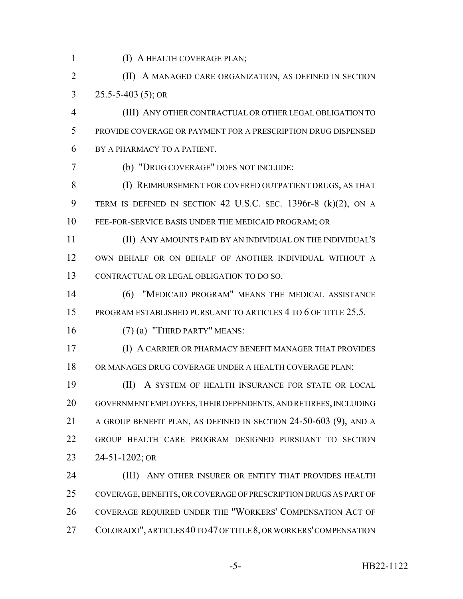- 
- (I) A HEALTH COVERAGE PLAN;
- **(II)** A MANAGED CARE ORGANIZATION, AS DEFINED IN SECTION 25.5-5-403 (5); OR
- (III) ANY OTHER CONTRACTUAL OR OTHER LEGAL OBLIGATION TO PROVIDE COVERAGE OR PAYMENT FOR A PRESCRIPTION DRUG DISPENSED BY A PHARMACY TO A PATIENT.
- 

(b) "DRUG COVERAGE" DOES NOT INCLUDE:

- 8 (I) REIMBURSEMENT FOR COVERED OUTPATIENT DRUGS, AS THAT TERM IS DEFINED IN SECTION 42 U.S.C. SEC. 1396r-8 (k)(2), ON A FEE-FOR-SERVICE BASIS UNDER THE MEDICAID PROGRAM; OR
- (II) ANY AMOUNTS PAID BY AN INDIVIDUAL ON THE INDIVIDUAL'S OWN BEHALF OR ON BEHALF OF ANOTHER INDIVIDUAL WITHOUT A CONTRACTUAL OR LEGAL OBLIGATION TO DO SO.
- (6) "MEDICAID PROGRAM" MEANS THE MEDICAL ASSISTANCE 15 PROGRAM ESTABLISHED PURSUANT TO ARTICLES 4 TO 6 OF TITLE 25.5.
- (7) (a) "THIRD PARTY" MEANS:
- (I) A CARRIER OR PHARMACY BENEFIT MANAGER THAT PROVIDES OR MANAGES DRUG COVERAGE UNDER A HEALTH COVERAGE PLAN;

 (II) A SYSTEM OF HEALTH INSURANCE FOR STATE OR LOCAL GOVERNMENT EMPLOYEES, THEIR DEPENDENTS, AND RETIREES, INCLUDING A GROUP BENEFIT PLAN, AS DEFINED IN SECTION 24-50-603 (9), AND A GROUP HEALTH CARE PROGRAM DESIGNED PURSUANT TO SECTION 24-51-1202; OR

**(III)** ANY OTHER INSURER OR ENTITY THAT PROVIDES HEALTH COVERAGE, BENEFITS, OR COVERAGE OF PRESCRIPTION DRUGS AS PART OF COVERAGE REQUIRED UNDER THE "WORKERS' COMPENSATION ACT OF COLORADO", ARTICLES 40 TO 47 OF TITLE 8, OR WORKERS' COMPENSATION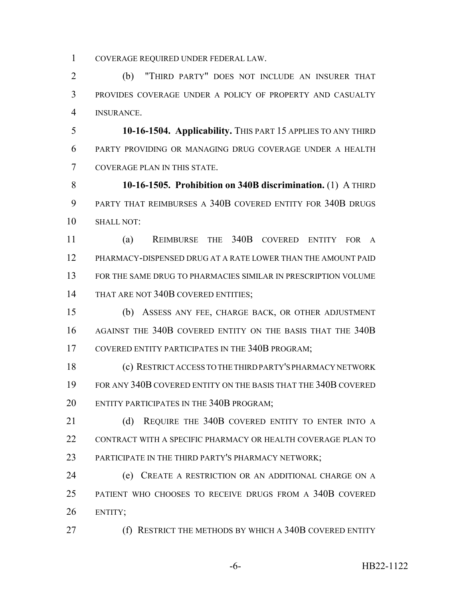COVERAGE REQUIRED UNDER FEDERAL LAW.

 (b) "THIRD PARTY" DOES NOT INCLUDE AN INSURER THAT PROVIDES COVERAGE UNDER A POLICY OF PROPERTY AND CASUALTY INSURANCE.

 **10-16-1504. Applicability.** THIS PART 15 APPLIES TO ANY THIRD PARTY PROVIDING OR MANAGING DRUG COVERAGE UNDER A HEALTH COVERAGE PLAN IN THIS STATE.

 **10-16-1505. Prohibition on 340B discrimination.** (1) A THIRD PARTY THAT REIMBURSES A 340B COVERED ENTITY FOR 340B DRUGS SHALL NOT:

 (a) REIMBURSE THE 340B COVERED ENTITY FOR A PHARMACY-DISPENSED DRUG AT A RATE LOWER THAN THE AMOUNT PAID FOR THE SAME DRUG TO PHARMACIES SIMILAR IN PRESCRIPTION VOLUME 14 THAT ARE NOT 340B COVERED ENTITIES;

 (b) ASSESS ANY FEE, CHARGE BACK, OR OTHER ADJUSTMENT AGAINST THE 340B COVERED ENTITY ON THE BASIS THAT THE 340B 17 COVERED ENTITY PARTICIPATES IN THE 340B PROGRAM;

 (c) RESTRICT ACCESS TO THE THIRD PARTY'S PHARMACY NETWORK FOR ANY 340B COVERED ENTITY ON THE BASIS THAT THE 340B COVERED ENTITY PARTICIPATES IN THE 340B PROGRAM;

21 (d) REQUIRE THE 340B COVERED ENTITY TO ENTER INTO A 22 CONTRACT WITH A SPECIFIC PHARMACY OR HEALTH COVERAGE PLAN TO 23 PARTICIPATE IN THE THIRD PARTY'S PHARMACY NETWORK;

 (e) CREATE A RESTRICTION OR AN ADDITIONAL CHARGE ON A PATIENT WHO CHOOSES TO RECEIVE DRUGS FROM A 340B COVERED ENTITY;

(f) RESTRICT THE METHODS BY WHICH A 340B COVERED ENTITY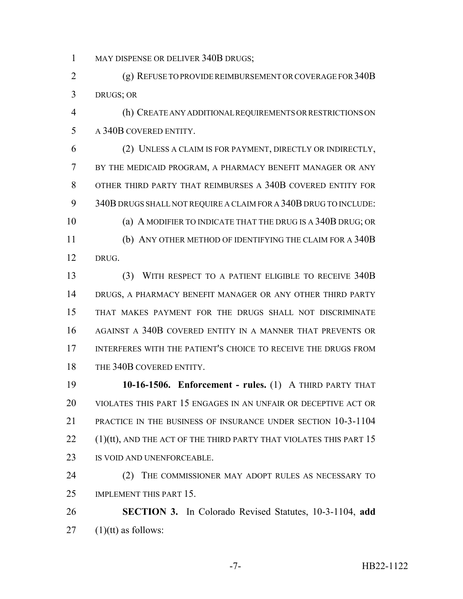1 MAY DISPENSE OR DELIVER 340B DRUGS;

 (g) REFUSE TO PROVIDE REIMBURSEMENT OR COVERAGE FOR 340B DRUGS; OR

 (h) CREATE ANY ADDITIONAL REQUIREMENTS OR RESTRICTIONS ON A 340B COVERED ENTITY.

 (2) UNLESS A CLAIM IS FOR PAYMENT, DIRECTLY OR INDIRECTLY, BY THE MEDICAID PROGRAM, A PHARMACY BENEFIT MANAGER OR ANY OTHER THIRD PARTY THAT REIMBURSES A 340B COVERED ENTITY FOR 340B DRUGS SHALL NOT REQUIRE A CLAIM FOR A 340B DRUG TO INCLUDE: (a) A MODIFIER TO INDICATE THAT THE DRUG IS A 340B DRUG; OR (b) ANY OTHER METHOD OF IDENTIFYING THE CLAIM FOR A 340B DRUG.

 (3) WITH RESPECT TO A PATIENT ELIGIBLE TO RECEIVE 340B DRUGS, A PHARMACY BENEFIT MANAGER OR ANY OTHER THIRD PARTY THAT MAKES PAYMENT FOR THE DRUGS SHALL NOT DISCRIMINATE AGAINST A 340B COVERED ENTITY IN A MANNER THAT PREVENTS OR INTERFERES WITH THE PATIENT'S CHOICE TO RECEIVE THE DRUGS FROM 18 THE 340B COVERED ENTITY.

 **10-16-1506. Enforcement - rules.** (1) A THIRD PARTY THAT VIOLATES THIS PART 15 ENGAGES IN AN UNFAIR OR DECEPTIVE ACT OR PRACTICE IN THE BUSINESS OF INSURANCE UNDER SECTION 10-3-1104 (1)(tt), AND THE ACT OF THE THIRD PARTY THAT VIOLATES THIS PART 15 IS VOID AND UNENFORCEABLE.

 (2) THE COMMISSIONER MAY ADOPT RULES AS NECESSARY TO 25 IMPLEMENT THIS PART 15.

 **SECTION 3.** In Colorado Revised Statutes, 10-3-1104, **add** (1)(tt) as follows: